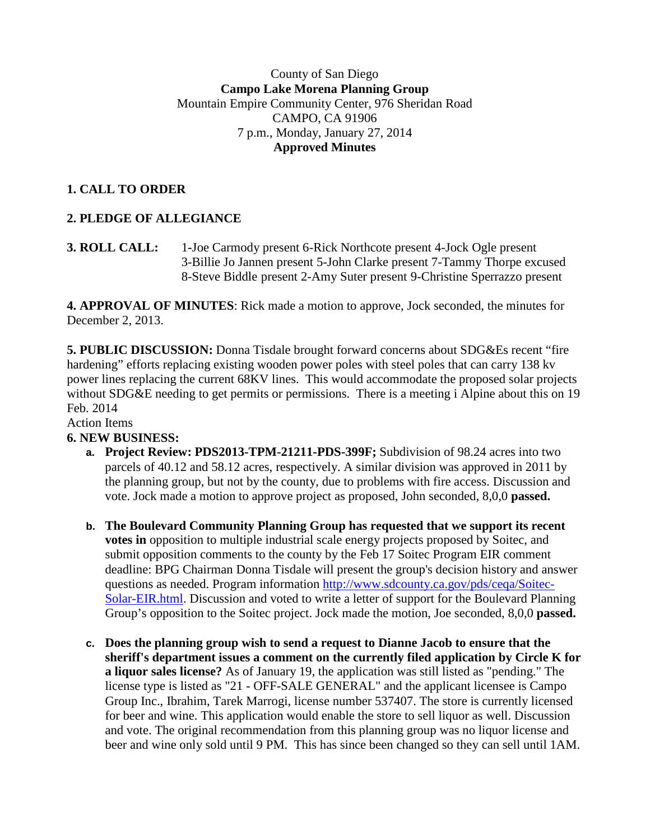### County of San Diego **Campo Lake Morena Planning Group** Mountain Empire Community Center, 976 Sheridan Road CAMPO, CA 91906 7 p.m., Monday, January 27, 2014 **Approved Minutes**

## **1. CALL TO ORDER**

# **2. PLEDGE OF ALLEGIANCE**

**3. ROLL CALL:** 1**-**Joe Carmody present 6-Rick Northcote present 4-Jock Ogle present 3-Billie Jo Jannen present 5-John Clarke present 7-Tammy Thorpe excused 8-Steve Biddle present 2-Amy Suter present 9-Christine Sperrazzo present

**4. APPROVAL OF MINUTES**: Rick made a motion to approve, Jock seconded, the minutes for December 2, 2013.

**5. PUBLIC DISCUSSION:** Donna Tisdale brought forward concerns about SDG&Es recent "fire hardening" efforts replacing existing wooden power poles with steel poles that can carry 138 kv power lines replacing the current 68KV lines. This would accommodate the proposed solar projects without SDG&E needing to get permits or permissions. There is a meeting i Alpine about this on 19 Feb. 2014

Action Items

## **6. NEW BUSINESS:**

- **a. Project Review: PDS2013-TPM-21211-PDS-399F;** Subdivision of 98.24 acres into two parcels of 40.12 and 58.12 acres, respectively. A similar division was approved in 2011 by the planning group, but not by the county, due to problems with fire access. Discussion and vote. Jock made a motion to approve project as proposed, John seconded, 8,0,0 **passed.**
- **b. The Boulevard Community Planning Group has requested that we support its recent votes in** opposition to multiple industrial scale energy projects proposed by Soitec, and submit opposition comments to the county by the Feb 17 Soitec Program EIR comment deadline: BPG Chairman Donna Tisdale will present the group's decision history and answer questions as needed. Program information [http://www.sdcounty.ca.gov/pds/ceqa/Soitec-](http://www.sdcounty.ca.gov/pds/ceqa/Soitec-Solar-EIR.html)[Solar-EIR.html.](http://www.sdcounty.ca.gov/pds/ceqa/Soitec-Solar-EIR.html) Discussion and voted to write a letter of support for the Boulevard Planning Group's opposition to the Soitec project. Jock made the motion, Joe seconded, 8,0,0 **passed.**
- **c. Does the planning group wish to send a request to Dianne Jacob to ensure that the sheriff's department issues a comment on the currently filed application by Circle K for a liquor sales license?** As of January 19, the application was still listed as "pending." The license type is listed as "21 - OFF-SALE GENERAL" and the applicant licensee is Campo Group Inc., Ibrahim, Tarek Marrogi, license number 537407. The store is currently licensed for beer and wine. This application would enable the store to sell liquor as well. Discussion and vote. The original recommendation from this planning group was no liquor license and beer and wine only sold until 9 PM. This has since been changed so they can sell until 1AM.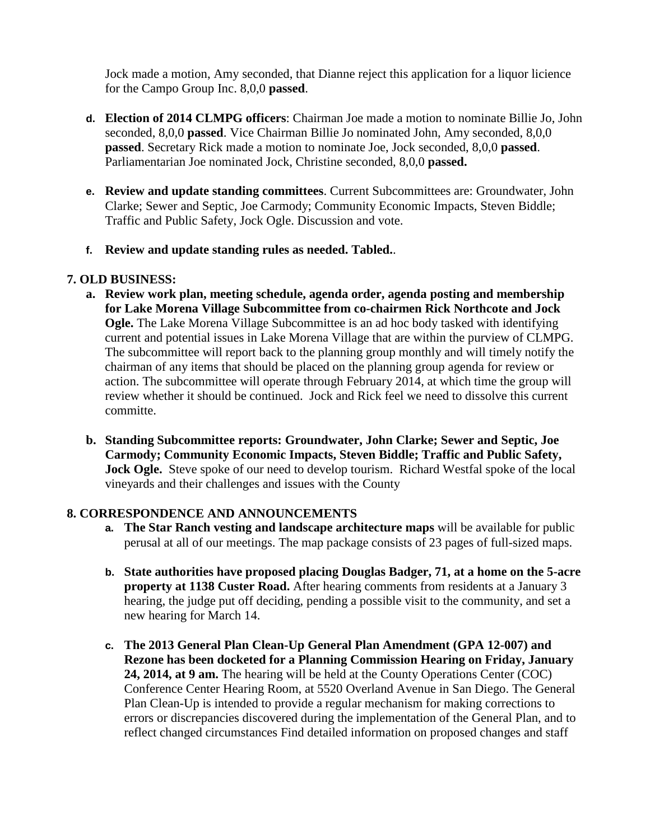Jock made a motion, Amy seconded, that Dianne reject this application for a liquor licience for the Campo Group Inc. 8,0,0 **passed**.

- **d. Election of 2014 CLMPG officers**: Chairman Joe made a motion to nominate Billie Jo, John seconded, 8,0,0 **passed**. Vice Chairman Billie Jo nominated John, Amy seconded, 8,0,0 **passed**. Secretary Rick made a motion to nominate Joe, Jock seconded, 8,0,0 **passed**. Parliamentarian Joe nominated Jock, Christine seconded, 8,0,0 **passed.**
- **e. Review and update standing committees**. Current Subcommittees are: Groundwater, John Clarke; Sewer and Septic, Joe Carmody; Community Economic Impacts, Steven Biddle; Traffic and Public Safety, Jock Ogle. Discussion and vote.
- **f. Review and update standing rules as needed. Tabled.**.

### **7. OLD BUSINESS:**

- **a. Review work plan, meeting schedule, agenda order, agenda posting and membership for Lake Morena Village Subcommittee from co-chairmen Rick Northcote and Jock Ogle.** The Lake Morena Village Subcommittee is an ad hoc body tasked with identifying current and potential issues in Lake Morena Village that are within the purview of CLMPG. The subcommittee will report back to the planning group monthly and will timely notify the chairman of any items that should be placed on the planning group agenda for review or action. The subcommittee will operate through February 2014, at which time the group will review whether it should be continued. Jock and Rick feel we need to dissolve this current committe.
- **b. Standing Subcommittee reports: Groundwater, John Clarke; Sewer and Septic, Joe Carmody; Community Economic Impacts, Steven Biddle; Traffic and Public Safety, Jock Ogle.** Steve spoke of our need to develop tourism. Richard Westfal spoke of the local vineyards and their challenges and issues with the County

### **8. CORRESPONDENCE AND ANNOUNCEMENTS**

- **a. The Star Ranch vesting and landscape architecture maps** will be available for public perusal at all of our meetings. The map package consists of 23 pages of full-sized maps.
- **b. State authorities have proposed placing Douglas Badger, 71, at a home on the 5-acre property at 1138 Custer Road.** After hearing comments from residents at a January 3 hearing, the judge put off deciding, pending a possible visit to the community, and set a new hearing for March 14.
- **c. The 2013 General Plan Clean-Up General Plan Amendment (GPA 12-007) and Rezone has been docketed for a Planning Commission Hearing on Friday, January 24, 2014, at 9 am.** The hearing will be held at the County Operations Center (COC) Conference Center Hearing Room, at 5520 Overland Avenue in San Diego. The General Plan Clean-Up is intended to provide a regular mechanism for making corrections to errors or discrepancies discovered during the implementation of the General Plan, and to reflect changed circumstances Find detailed information on proposed changes and staff